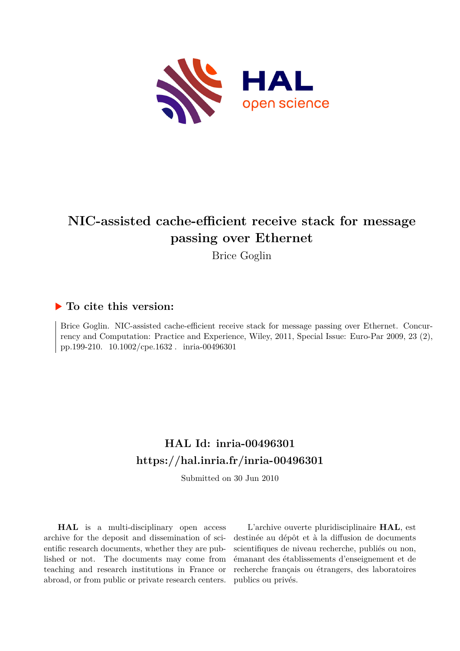

# **NIC-assisted cache-efficient receive stack for message passing over Ethernet**

Brice Goglin

# **To cite this version:**

Brice Goglin. NIC-assisted cache-efficient receive stack for message passing over Ethernet. Concurrency and Computation: Practice and Experience, Wiley, 2011, Special Issue: Euro-Par 2009, 23 (2), pp.199-210. 10.1002/cpe.1632. inria-00496301

# **HAL Id: inria-00496301 <https://hal.inria.fr/inria-00496301>**

Submitted on 30 Jun 2010

**HAL** is a multi-disciplinary open access archive for the deposit and dissemination of scientific research documents, whether they are published or not. The documents may come from teaching and research institutions in France or abroad, or from public or private research centers.

L'archive ouverte pluridisciplinaire **HAL**, est destinée au dépôt et à la diffusion de documents scientifiques de niveau recherche, publiés ou non, émanant des établissements d'enseignement et de recherche français ou étrangers, des laboratoires publics ou privés.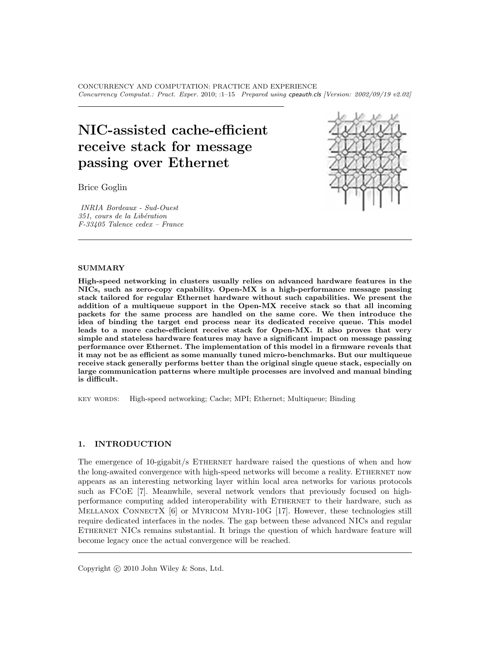CONCURRENCY AND COMPUTATION: PRACTICE AND EXPERIENCE *Concurrency Computat.: Pract. Exper.* 2010; :1–15 *Prepared using* cpeauth.cls *[Version: 2002/09/19 v2.02]*

# NIC-assisted cache-efficient receive stack for message passing over Ethernet

Brice Goglin

INRIA Bordeaux - Sud-Ouest 351, cours de la Libération F-33405 Talence cedex – France



#### SUMMARY

High-speed networking in clusters usually relies on advanced hardware features in the NICs, such as zero-copy capability. Open-MX is a high-performance message passing stack tailored for regular Ethernet hardware without such capabilities. We present the addition of a multiqueue support in the Open-MX receive stack so that all incoming packets for the same process are handled on the same core. We then introduce the idea of binding the target end process near its dedicated receive queue. This model leads to a more cache-efficient receive stack for Open-MX. It also proves that very simple and stateless hardware features may have a significant impact on message passing performance over Ethernet. The implementation of this model in a firmware reveals that it may not be as efficient as some manually tuned micro-benchmarks. But our multiqueue receive stack generally performs better than the original single queue stack, especially on large communication patterns where multiple processes are involved and manual binding is difficult.

key words: High-speed networking; Cache; MPI; Ethernet; Multiqueue; Binding

#### 1. INTRODUCTION

The emergence of 10-gigabit/s ETHERNET hardware raised the questions of when and how the long-awaited convergence with high-speed networks will become a reality. ETHERNET now appears as an interesting networking layer within local area networks for various protocols such as FCoE [7]. Meanwhile, several network vendors that previously focused on highperformance computing added interoperability with ETHERNET to their hardware, such as Mellanox ConnectX [6] or Myricom Myri-10G [17]. However, these technologies still require dedicated interfaces in the nodes. The gap between these advanced NICs and regular ETHERNET NICs remains substantial. It brings the question of which hardware feature will become legacy once the actual convergence will be reached.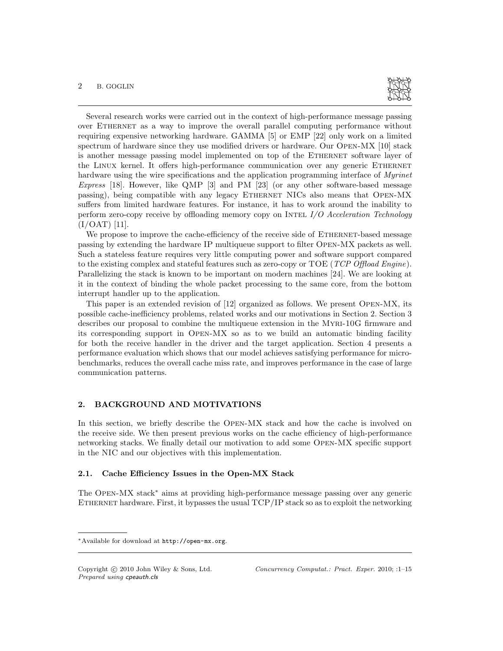### 2 B. GOGLIN



Several research works were carried out in the context of high-performance message passing over Ethernet as a way to improve the overall parallel computing performance without requiring expensive networking hardware. GAMMA [5] or EMP [22] only work on a limited spectrum of hardware since they use modified drivers or hardware. Our Open-MX [10] stack is another message passing model implemented on top of the ETHERNET software layer of the LINUX kernel. It offers high-performance communication over any generic ETHERNET hardware using the wire specifications and the application programming interface of *Myrinet* Express [18]. However, like QMP [3] and PM [23] (or any other software-based message passing), being compatible with any legacy Ethernet NICs also means that Open-MX suffers from limited hardware features. For instance, it has to work around the inability to perform zero-copy receive by offloading memory copy on INTEL  $I/O$  Acceleration Technology  $(I/OAT)$  [11].

We propose to improve the cache-efficiency of the receive side of ETHERNET-based message passing by extending the hardware IP multiqueue support to filter Open-MX packets as well. Such a stateless feature requires very little computing power and software support compared to the existing complex and stateful features such as zero-copy or TOE (*TCP Offload Engine*). Parallelizing the stack is known to be important on modern machines [24]. We are looking at it in the context of binding the whole packet processing to the same core, from the bottom interrupt handler up to the application.

This paper is an extended revision of [12] organized as follows. We present Open-MX, its possible cache-inefficiency problems, related works and our motivations in Section 2. Section 3 describes our proposal to combine the multiqueue extension in the Myri-10G firmware and its corresponding support in Open-MX so as to we build an automatic binding facility for both the receive handler in the driver and the target application. Section 4 presents a performance evaluation which shows that our model achieves satisfying performance for microbenchmarks, reduces the overall cache miss rate, and improves performance in the case of large communication patterns.

# 2. BACKGROUND AND MOTIVATIONS

In this section, we briefly describe the OPEN-MX stack and how the cache is involved on the receive side. We then present previous works on the cache efficiency of high-performance networking stacks. We finally detail our motivation to add some Open-MX specific support in the NIC and our objectives with this implementation.

#### 2.1. Cache Efficiency Issues in the Open-MX Stack

The Open-MX stack<sup>∗</sup> aims at providing high-performance message passing over any generic ETHERNET hardware. First, it bypasses the usual  $TCP/IP$  stack so as to exploit the networking

*Prepared using* cpeauth.cls

<sup>∗</sup>Available for download at http://open-mx.org.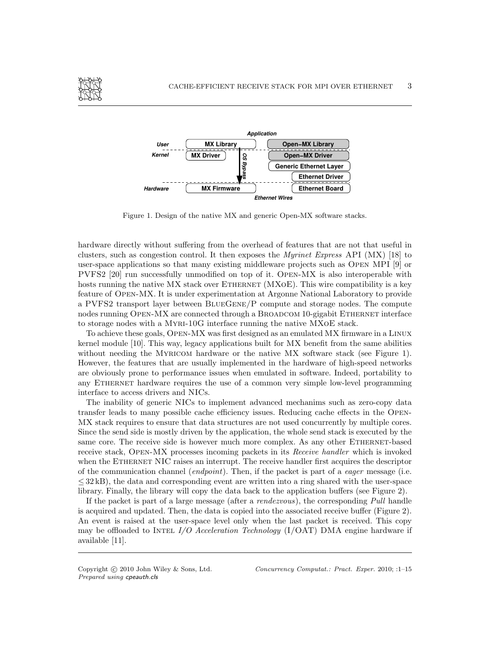



Figure 1. Design of the native MX and generic Open-MX software stacks.

hardware directly without suffering from the overhead of features that are not that useful in clusters, such as congestion control. It then exposes the Myrinet Express API (MX) [18] to user-space applications so that many existing middleware projects such as Open MPI [9] or PVFS2 [20] run successfully unmodified on top of it. Open-MX is also interoperable with hosts running the native MX stack over ETHERNET (MXOE). This wire compatibility is a key feature of Open-MX. It is under experimentation at Argonne National Laboratory to provide a PVFS2 transport layer between BlueGene/P compute and storage nodes. The compute nodes running OPEN-MX are connected through a BROADCOM 10-gigabit ETHERNET interface to storage nodes with a Myri-10G interface running the native MXoE stack.

To achieve these goals, Open-MX was first designed as an emulated MX firmware in a Linux kernel module [10]. This way, legacy applications built for MX benefit from the same abilities without needing the MYRICOM hardware or the native MX software stack (see Figure 1). However, the features that are usually implemented in the hardware of high-speed networks are obviously prone to performance issues when emulated in software. Indeed, portability to any Ethernet hardware requires the use of a common very simple low-level programming interface to access drivers and NICs.

The inability of generic NICs to implement advanced mechanims such as zero-copy data transfer leads to many possible cache efficiency issues. Reducing cache effects in the Open-MX stack requires to ensure that data structures are not used concurrently by multiple cores. Since the send side is mostly driven by the application, the whole send stack is executed by the same core. The receive side is however much more complex. As any other ETHERNET-based receive stack, Open-MX processes incoming packets in its Receive handler which is invoked when the ETHERNET NIC raises an interrupt. The receive handler first acquires the descriptor of the communication channel  $(endpoint)$ . Then, if the packet is part of a *eager* message (i.e.  $\leq$  32 kB), the data and corresponding event are written into a ring shared with the user-space library. Finally, the library will copy the data back to the application buffers (see Figure 2).

If the packet is part of a large message (after a rendezvous), the corresponding Pull handle is acquired and updated. Then, the data is copied into the associated receive buffer (Figure 2). An event is raised at the user-space level only when the last packet is received. This copy may be offloaded to INTEL  $I/O$  Acceleration Technology (I/OAT) DMA engine hardware if available [11].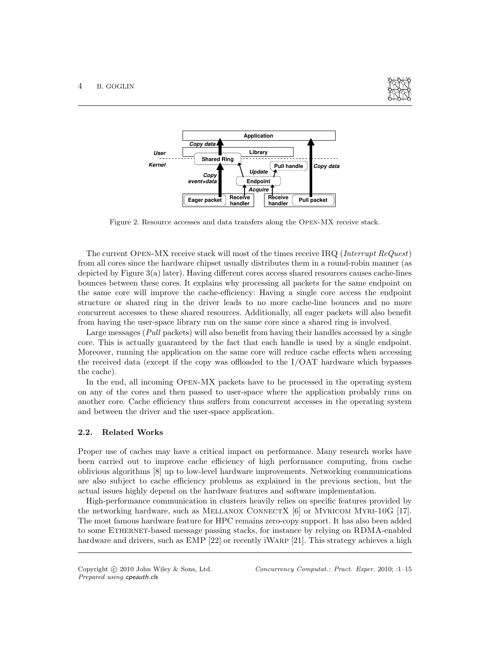



Figure 2. Resource accesses and data transfers along the Open-MX receive stack.

The current Open-MX receive stack will most of the times receive IRQ (Interrupt ReQuest) from all cores since the hardware chipset usually distributes them in a round-robin manner (as depicted by Figure 3(a) later). Having different cores access shared resources causes cache-lines bounces between these cores. It explains why processing all packets for the same endpoint on the same core will improve the cache-efficiency: Having a single core access the endpoint structure or shared ring in the driver leads to no more cache-line bounces and no more concurrent accesses to these shared resources. Additionally, all eager packets will also benefit from having the user-space library run on the same core since a shared ring is involved.

Large messages (Pull packets) will also benefit from having their handles accessed by a single core. This is actually guaranteed by the fact that each handle is used by a single endpoint. Moreover, running the application on the same core will reduce cache effects when accessing the received data (except if the copy was offloaded to the  $I/OAT$  hardware which bypasses the cache).

In the end, all incoming Open-MX packets have to be processed in the operating system on any of the cores and then passed to user-space where the application probably runs on another core. Cache efficiency thus suffers from concurrent accesses in the operating system and between the driver and the user-space application.

### 2.2. Related Works

Proper use of caches may have a critical impact on performance. Many research works have been carried out to improve cache efficiency of high performance computing, from cache oblivious algorithms [8] up to low-level hardware improvements. Networking communications are also subject to cache efficiency problems as explained in the previous section, but the actual issues highly depend on the hardware features and software implementation.

High-performance communication in clusters heavily relies on specific features provided by the networking hardware, such as MELLANOX CONNECTX  $[6]$  or MYRICOM MYRI-10G  $[17]$ . The most famous hardware feature for HPC remains zero-copy support. It has also been added to some Ethernet-based message passing stacks, for instance by relying on RDMA-enabled hardware and drivers, such as EMP [22] or recently iWARP [21]. This strategy achieves a high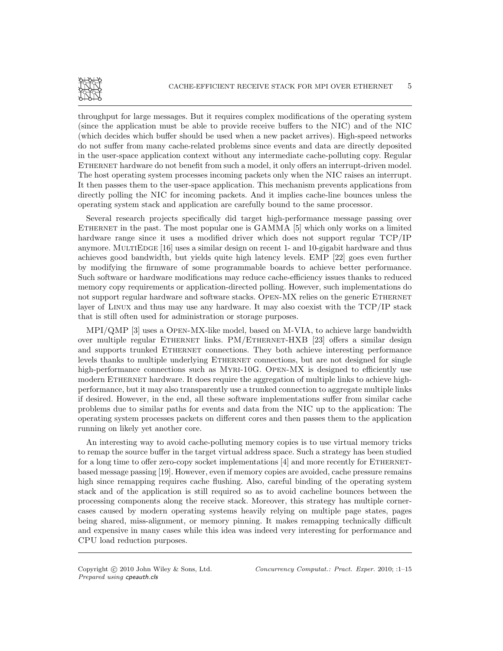

throughput for large messages. But it requires complex modifications of the operating system (since the application must be able to provide receive buffers to the NIC) and of the NIC (which decides which buffer should be used when a new packet arrives). High-speed networks do not suffer from many cache-related problems since events and data are directly deposited in the user-space application context without any intermediate cache-polluting copy. Regular ETHERNET hardware do not benefit from such a model, it only offers an interrupt-driven model. The host operating system processes incoming packets only when the NIC raises an interrupt. It then passes them to the user-space application. This mechanism prevents applications from directly polling the NIC for incoming packets. And it implies cache-line bounces unless the operating system stack and application are carefully bound to the same processor.

Several research projects specifically did target high-performance message passing over ETHERNET in the past. The most popular one is GAMMA [5] which only works on a limited hardware range since it uses a modified driver which does not support regular TCP/IP anymore. MULTIEDGE [16] uses a similar design on recent 1- and 10-gigabit hardware and thus achieves good bandwidth, but yields quite high latency levels. EMP [22] goes even further by modifying the firmware of some programmable boards to achieve better performance. Such software or hardware modifications may reduce cache-efficiency issues thanks to reduced memory copy requirements or application-directed polling. However, such implementations do not support regular hardware and software stacks. OPEN-MX relies on the generic ETHERNET layer of Linux and thus may use any hardware. It may also coexist with the TCP/IP stack that is still often used for administration or storage purposes.

MPI/QMP [3] uses a Open-MX-like model, based on M-VIA, to achieve large bandwidth over multiple regular Ethernet links. PM/Ethernet-HXB [23] offers a similar design and supports trunked ETHERNET connections. They both achieve interesting performance levels thanks to multiple underlying ETHERNET connections, but are not designed for single high-performance connections such as MYRI-10G. OPEN-MX is designed to efficiently use modern ETHERNET hardware. It does require the aggregation of multiple links to achieve highperformance, but it may also transparently use a trunked connection to aggregate multiple links if desired. However, in the end, all these software implementations suffer from similar cache problems due to similar paths for events and data from the NIC up to the application: The operating system processes packets on different cores and then passes them to the application running on likely yet another core.

An interesting way to avoid cache-polluting memory copies is to use virtual memory tricks to remap the source buffer in the target virtual address space. Such a strategy has been studied for a long time to offer zero-copy socket implementations [4] and more recently for ETHERNETbased message passing [19]. However, even if memory copies are avoided, cache pressure remains high since remapping requires cache flushing. Also, careful binding of the operating system stack and of the application is still required so as to avoid cacheline bounces between the processing components along the receive stack. Moreover, this strategy has multiple cornercases caused by modern operating systems heavily relying on multiple page states, pages being shared, miss-alignment, or memory pinning. It makes remapping technically difficult and expensive in many cases while this idea was indeed very interesting for performance and CPU load reduction purposes.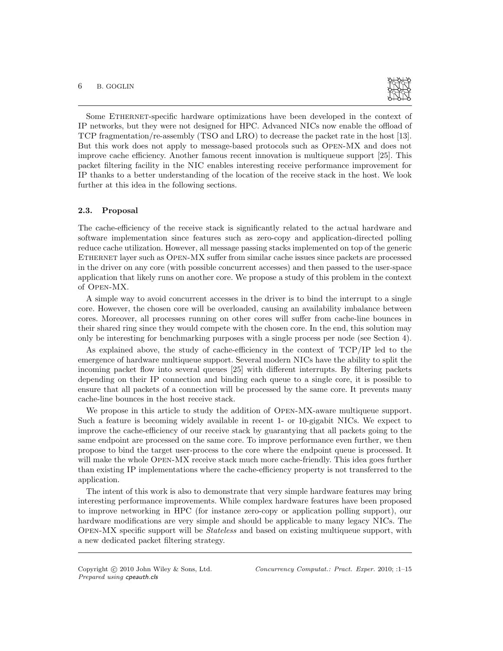

Some ETHERNET-specific hardware optimizations have been developed in the context of IP networks, but they were not designed for HPC. Advanced NICs now enable the offload of TCP fragmentation/re-assembly (TSO and LRO) to decrease the packet rate in the host [13]. But this work does not apply to message-based protocols such as Open-MX and does not improve cache efficiency. Another famous recent innovation is multiqueue support [25]. This packet filtering facility in the NIC enables interesting receive performance improvement for IP thanks to a better understanding of the location of the receive stack in the host. We look further at this idea in the following sections.

## 2.3. Proposal

The cache-efficiency of the receive stack is significantly related to the actual hardware and software implementation since features such as zero-copy and application-directed polling reduce cache utilization. However, all message passing stacks implemented on top of the generic ETHERNET layer such as OPEN-MX suffer from similar cache issues since packets are processed in the driver on any core (with possible concurrent accesses) and then passed to the user-space application that likely runs on another core. We propose a study of this problem in the context of Open-MX.

A simple way to avoid concurrent accesses in the driver is to bind the interrupt to a single core. However, the chosen core will be overloaded, causing an availability imbalance between cores. Moreover, all processes running on other cores will suffer from cache-line bounces in their shared ring since they would compete with the chosen core. In the end, this solution may only be interesting for benchmarking purposes with a single process per node (see Section 4).

As explained above, the study of cache-efficiency in the context of TCP/IP led to the emergence of hardware multiqueue support. Several modern NICs have the ability to split the incoming packet flow into several queues [25] with different interrupts. By filtering packets depending on their IP connection and binding each queue to a single core, it is possible to ensure that all packets of a connection will be processed by the same core. It prevents many cache-line bounces in the host receive stack.

We propose in this article to study the addition of OPEN-MX-aware multiqueue support. Such a feature is becoming widely available in recent 1- or 10-gigabit NICs. We expect to improve the cache-efficiency of our receive stack by guarantying that all packets going to the same endpoint are processed on the same core. To improve performance even further, we then propose to bind the target user-process to the core where the endpoint queue is processed. It will make the whole OPEN-MX receive stack much more cache-friendly. This idea goes further than existing IP implementations where the cache-efficiency property is not transferred to the application.

The intent of this work is also to demonstrate that very simple hardware features may bring interesting performance improvements. While complex hardware features have been proposed to improve networking in HPC (for instance zero-copy or application polling support), our hardware modifications are very simple and should be applicable to many legacy NICs. The Open-MX specific support will be Stateless and based on existing multiqueue support, with a new dedicated packet filtering strategy.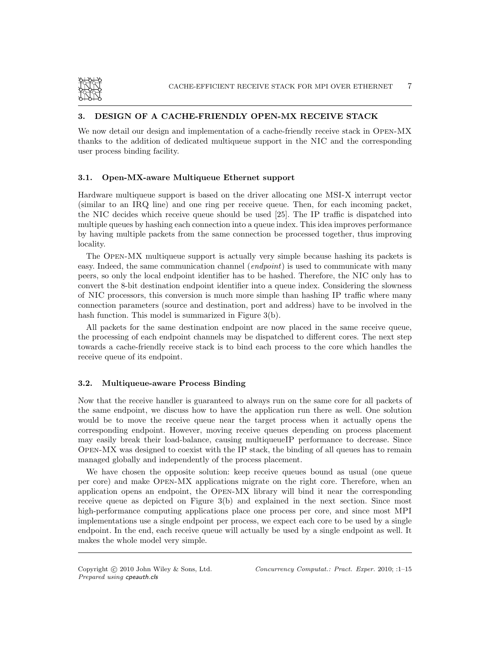

# 3. DESIGN OF A CACHE-FRIENDLY OPEN-MX RECEIVE STACK

We now detail our design and implementation of a cache-friendly receive stack in OPEN-MX thanks to the addition of dedicated multiqueue support in the NIC and the corresponding user process binding facility.

# 3.1. Open-MX-aware Multiqueue Ethernet support

Hardware multiqueue support is based on the driver allocating one MSI-X interrupt vector (similar to an IRQ line) and one ring per receive queue. Then, for each incoming packet, the NIC decides which receive queue should be used [25]. The IP traffic is dispatched into multiple queues by hashing each connection into a queue index. This idea improves performance by having multiple packets from the same connection be processed together, thus improving locality.

The Open-MX multiqueue support is actually very simple because hashing its packets is easy. Indeed, the same communication channel (*endpoint*) is used to communicate with many peers, so only the local endpoint identifier has to be hashed. Therefore, the NIC only has to convert the 8-bit destination endpoint identifier into a queue index. Considering the slowness of NIC processors, this conversion is much more simple than hashing IP traffic where many connection parameters (source and destination, port and address) have to be involved in the hash function. This model is summarized in Figure 3(b).

All packets for the same destination endpoint are now placed in the same receive queue, the processing of each endpoint channels may be dispatched to different cores. The next step towards a cache-friendly receive stack is to bind each process to the core which handles the receive queue of its endpoint.

# 3.2. Multiqueue-aware Process Binding

Now that the receive handler is guaranteed to always run on the same core for all packets of the same endpoint, we discuss how to have the application run there as well. One solution would be to move the receive queue near the target process when it actually opens the corresponding endpoint. However, moving receive queues depending on process placement may easily break their load-balance, causing multiqueueIP performance to decrease. Since Open-MX was designed to coexist with the IP stack, the binding of all queues has to remain managed globally and independently of the process placement.

We have chosen the opposite solution: keep receive queues bound as usual (one queue per core) and make Open-MX applications migrate on the right core. Therefore, when an application opens an endpoint, the Open-MX library will bind it near the corresponding receive queue as depicted on Figure 3(b) and explained in the next section. Since most high-performance computing applications place one process per core, and since most MPI implementations use a single endpoint per process, we expect each core to be used by a single endpoint. In the end, each receive queue will actually be used by a single endpoint as well. It makes the whole model very simple.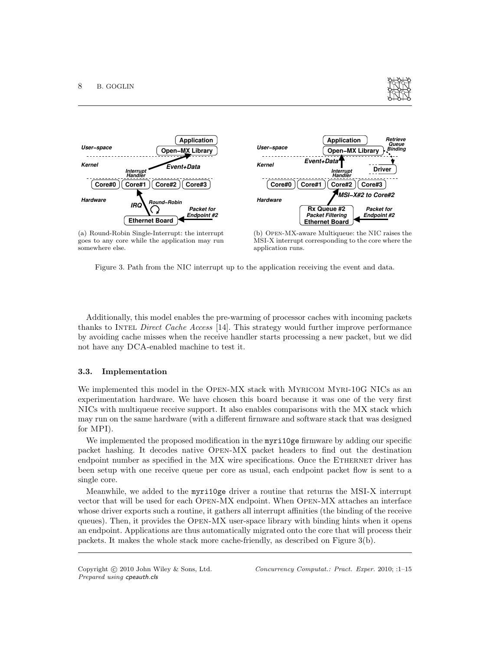

**Queue Retrieve** 

**Driver**

**Endpoint #2 Packet for**

**MSI−X#2 to Core#2**



(a) Round-Robin Single-Interrupt: the interrupt goes to any core while the application may run somewhere else.

(b) Open-MX-aware Multiqueue: the NIC raises the MSI-X interrupt corresponding to the core where the application runs.

**Handler Interrupt**



Additionally, this model enables the pre-warming of processor caches with incoming packets thanks to INTEL *Direct Cache Access* [14]. This strategy would further improve performance by avoiding cache misses when the receive handler starts processing a new packet, but we did not have any DCA-enabled machine to test it.

#### 3.3. Implementation

We implemented this model in the OPEN-MX stack with MYRICOM MYRI-10G NICs as an experimentation hardware. We have chosen this board because it was one of the very first NICs with multiqueue receive support. It also enables comparisons with the MX stack which may run on the same hardware (with a different firmware and software stack that was designed for MPI).

We implemented the proposed modification in the myri10ge firmware by adding our specific packet hashing. It decodes native Open-MX packet headers to find out the destination endpoint number as specified in the MX wire specifications. Once the ETHERNET driver has been setup with one receive queue per core as usual, each endpoint packet flow is sent to a single core.

Meanwhile, we added to the myri10ge driver a routine that returns the MSI-X interrupt vector that will be used for each Open-MX endpoint. When Open-MX attaches an interface whose driver exports such a routine, it gathers all interrupt affinities (the binding of the receive queues). Then, it provides the Open-MX user-space library with binding hints when it opens an endpoint. Applications are thus automatically migrated onto the core that will process their packets. It makes the whole stack more cache-friendly, as described on Figure 3(b).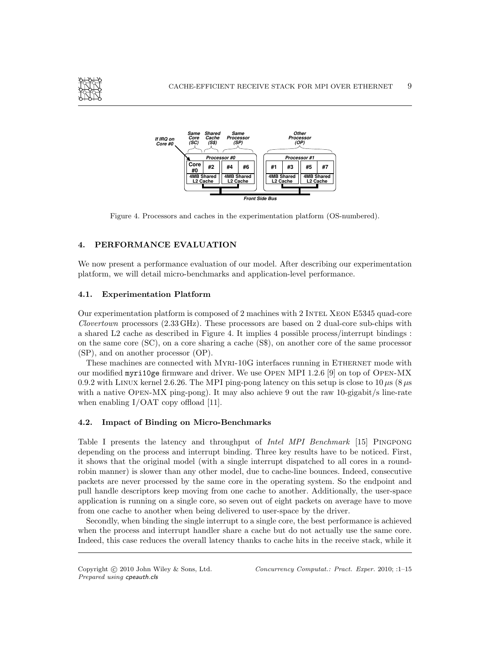



Figure 4. Processors and caches in the experimentation platform (OS-numbered).

# 4. PERFORMANCE EVALUATION

We now present a performance evaluation of our model. After describing our experimentation platform, we will detail micro-benchmarks and application-level performance.

# 4.1. Experimentation Platform

Our experimentation platform is composed of 2 machines with 2 Intel Xeon E5345 quad-core Clovertown processors (2.33 GHz). These processors are based on 2 dual-core sub-chips with a shared L2 cache as described in Figure 4. It implies 4 possible process/interrupt bindings : on the same core (SC), on a core sharing a cache (S\$), on another core of the same processor (SP), and on another processor (OP).

These machines are connected with MYRI-10G interfaces running in ETHERNET mode with our modified myri10ge firmware and driver. We use Open MPI 1.2.6 [9] on top of Open-MX 0.9.2 with LINUX kernel 2.6.26. The MPI ping-pong latency on this setup is close to  $10 \,\mu s$  (8  $\mu s$ ) with a native OPEN-MX ping-pong). It may also achieve 9 out the raw 10-gigabit/s line-rate when enabling  $I/OAT$  copy offload [11].

# 4.2. Impact of Binding on Micro-Benchmarks

Table I presents the latency and throughput of Intel MPI Benchmark [15] Pingpong depending on the process and interrupt binding. Three key results have to be noticed. First, it shows that the original model (with a single interrupt dispatched to all cores in a roundrobin manner) is slower than any other model, due to cache-line bounces. Indeed, consecutive packets are never processed by the same core in the operating system. So the endpoint and pull handle descriptors keep moving from one cache to another. Additionally, the user-space application is running on a single core, so seven out of eight packets on average have to move from one cache to another when being delivered to user-space by the driver.

Secondly, when binding the single interrupt to a single core, the best performance is achieved when the process and interrupt handler share a cache but do not actually use the same core. Indeed, this case reduces the overall latency thanks to cache hits in the receive stack, while it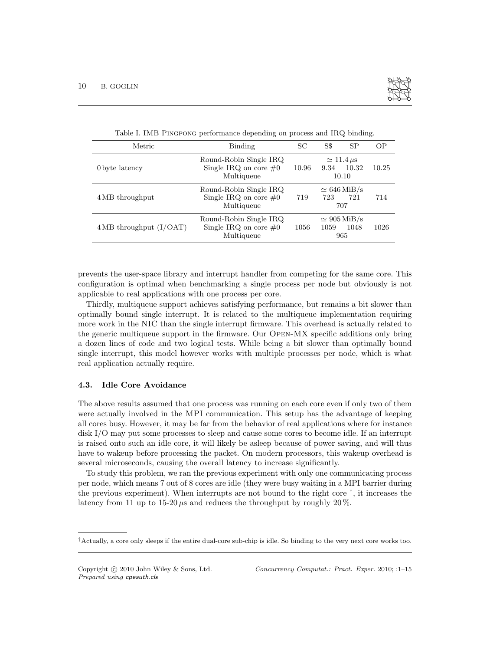

| Metric                      | Binding                                                          |                                                   | S\$                                     | SP                                      | OΡ    |
|-----------------------------|------------------------------------------------------------------|---------------------------------------------------|-----------------------------------------|-----------------------------------------|-------|
| 0 byte latency              | Round-Robin Single IRQ<br>Single IRQ on core $\#0$<br>Multiqueue | 10.96                                             | 9.34                                    | $\simeq 11.4 \,\mu s$<br>10.32<br>10.10 | 10.25 |
| 4 MB throughput             | Round-Robin Single IRQ<br>Single IRQ on core $\#0$<br>Multiqueue |                                                   | $\simeq 646$ MiB/s<br>723<br>721<br>707 |                                         | 714   |
| $4 MB$ throughput $(I/OAT)$ | Round-Robin Single IRQ<br>Single IRQ on core $\#0$<br>Multiqueue | $\simeq 905$ MiB/s<br>1048<br>1059<br>1056<br>965 |                                         | 1026                                    |       |

Table I. IMB Pingpong performance depending on process and IRQ binding.

prevents the user-space library and interrupt handler from competing for the same core. This configuration is optimal when benchmarking a single process per node but obviously is not applicable to real applications with one process per core.

Thirdly, multiqueue support achieves satisfying performance, but remains a bit slower than optimally bound single interrupt. It is related to the multiqueue implementation requiring more work in the NIC than the single interrupt firmware. This overhead is actually related to the generic multiqueue support in the firmware. Our Open-MX specific additions only bring a dozen lines of code and two logical tests. While being a bit slower than optimally bound single interrupt, this model however works with multiple processes per node, which is what real application actually require.

# 4.3. Idle Core Avoidance

The above results assumed that one process was running on each core even if only two of them were actually involved in the MPI communication. This setup has the advantage of keeping all cores busy. However, it may be far from the behavior of real applications where for instance disk I/O may put some processes to sleep and cause some cores to become idle. If an interrupt is raised onto such an idle core, it will likely be asleep because of power saving, and will thus have to wakeup before processing the packet. On modern processors, this wakeup overhead is several microseconds, causing the overall latency to increase significantly.

To study this problem, we ran the previous experiment with only one communicating process per node, which means 7 out of 8 cores are idle (they were busy waiting in a MPI barrier during the previous experiment). When interrupts are not bound to the right core † , it increases the latency from 11 up to  $15{\text -}20 \mu s$  and reduces the throughput by roughly  $20\%$ .

<sup>†</sup>Actually, a core only sleeps if the entire dual-core sub-chip is idle. So binding to the very next core works too.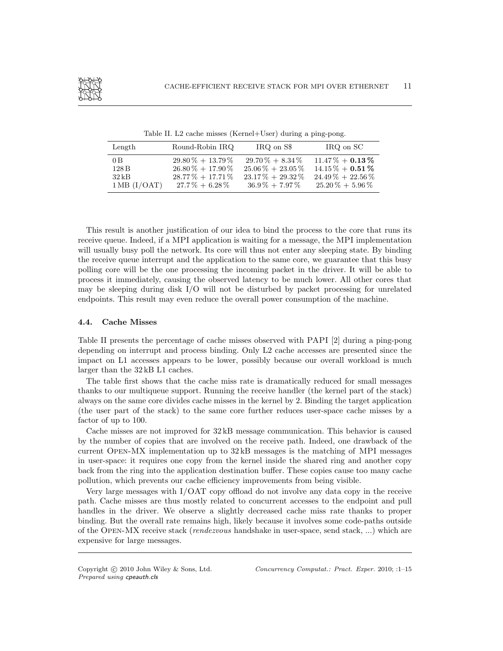

Table II. L2 cache misses (Kernel+User) during a ping-pong.

| Length       | Round-Robin IRQ     | IRQ on S\$          | IRQ on SC           |
|--------------|---------------------|---------------------|---------------------|
| 0B           | $29.80\% + 13.79\%$ | $29.70\% + 8.34\%$  | $11.47\% + 0.13\%$  |
| 128B         | $26.80\% + 17.90\%$ | $25.06\% + 23.05\%$ | $14.15\% + 0.51\%$  |
| $32$ kB      | $28.77\% + 17.71\%$ | $23.17\% + 29.32\%$ | $24.49\% + 22.56\%$ |
| 1 MB (I/OAT) | $27.7\% + 6.28\%$   | $36.9\% + 7.97\%$   | $25.20\% + 5.96\%$  |

This result is another justification of our idea to bind the process to the core that runs its receive queue. Indeed, if a MPI application is waiting for a message, the MPI implementation will usually busy poll the network. Its core will thus not enter any sleeping state. By binding the receive queue interrupt and the application to the same core, we guarantee that this busy polling core will be the one processing the incoming packet in the driver. It will be able to process it immediately, causing the observed latency to be much lower. All other cores that may be sleeping during disk I/O will not be disturbed by packet processing for unrelated endpoints. This result may even reduce the overall power consumption of the machine.

#### 4.4. Cache Misses

Table II presents the percentage of cache misses observed with PAPI [2] during a ping-pong depending on interrupt and process binding. Only L2 cache accesses are presented since the impact on L1 accesses appears to be lower, possibly because our overall workload is much larger than the 32 kB L1 caches.

The table first shows that the cache miss rate is dramatically reduced for small messages thanks to our multiqueue support. Running the receive handler (the kernel part of the stack) always on the same core divides cache misses in the kernel by 2. Binding the target application (the user part of the stack) to the same core further reduces user-space cache misses by a factor of up to 100.

Cache misses are not improved for 32 kB message communication. This behavior is caused by the number of copies that are involved on the receive path. Indeed, one drawback of the current Open-MX implementation up to 32 kB messages is the matching of MPI messages in user-space: it requires one copy from the kernel inside the shared ring and another copy back from the ring into the application destination buffer. These copies cause too many cache pollution, which prevents our cache efficiency improvements from being visible.

Very large messages with I/OAT copy offload do not involve any data copy in the receive path. Cache misses are thus mostly related to concurrent accesses to the endpoint and pull handles in the driver. We observe a slightly decreased cache miss rate thanks to proper binding. But the overall rate remains high, likely because it involves some code-paths outside of the Open-MX receive stack (rendezvous handshake in user-space, send stack, ...) which are expensive for large messages.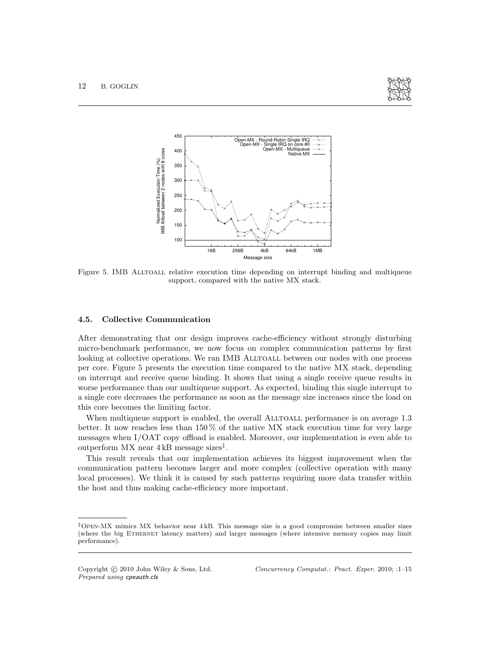



Figure 5. IMB ALLTOALL relative execution time depending on interrupt binding and multiqueue support, compared with the native MX stack.

#### 4.5. Collective Communication

After demonstrating that our design improves cache-efficiency without strongly disturbing micro-benchmark performance, we now focus on complex communication patterns by first looking at collective operations. We ran IMB ALLTOALL between our nodes with one process per core. Figure 5 presents the execution time compared to the native MX stack, depending on interrupt and receive queue binding. It shows that using a single receive queue results in worse performance than our multiqueue support. As expected, binding this single interrupt to a single core decreases the performance as soon as the message size increases since the load on this core becomes the limiting factor.

When multiqueue support is enabled, the overall ALLTOALL performance is on average 1.3 better. It now reaches less than  $150\%$  of the native MX stack execution time for very large messages when I/OAT copy offload is enabled. Moreover, our implementation is even able to outperform MX near 4 kB message sizes‡ .

This result reveals that our implementation achieves its biggest improvement when the communication pattern becomes larger and more complex (collective operation with many local processes). We think it is caused by such patterns requiring more data transfer within the host and thus making cache-efficiency more important.

<sup>‡</sup>Open-MX mimics MX behavior near 4 kB. This message size is a good compromise between smaller sizes (where the big ETHERNET latency matters) and larger messages (where intensive memory copies may limit performance).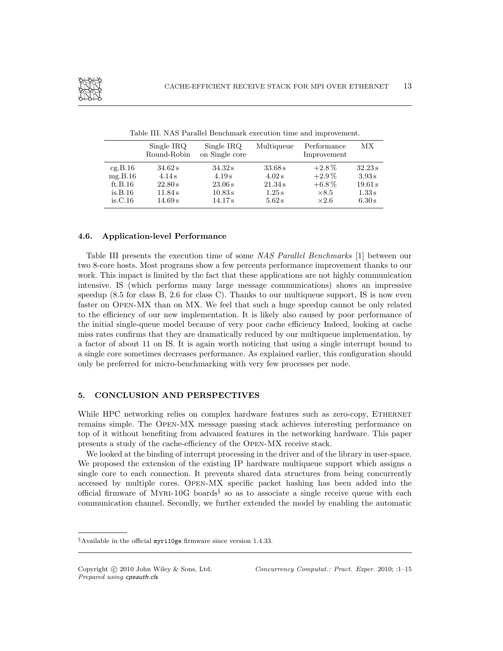

|            | Single IRQ<br>Round-Robin | Single IRQ<br>on Single core | Multiqueue | Performance<br>Improvement | ΜХ      |
|------------|---------------------------|------------------------------|------------|----------------------------|---------|
| cg.B.16    | 34.62 s                   | 34.32 s                      | 33.68 s    | $+2.8\%$                   | 32.23 s |
| mg.B.16    | 4.14s                     | 4.19 s                       | 4.02 s     | $+2.9\%$                   | 3.93 s  |
| ft.B.16    | 22.80 s                   | 23.06 s                      | 21.34 s    | $+6.8\%$                   | 19.61 s |
| is.B.16    | 11.84 s                   | 10.83 s                      | 1.25s      | $\times 8.5$               | 1.33 s  |
| $i$ s.C.16 | 14.69 s                   | 14.17s                       | 5.62 s     | $\times 2.6$               | 6.30 s  |

Table III. NAS Parallel Benchmark execution time and improvement.

#### 4.6. Application-level Performance

Table III presents the execution time of some NAS Parallel Benchmarks [1] between our two 8-core hosts. Most programs show a few percents performance improvement thanks to our work. This impact is limited by the fact that these applications are not highly communication intensive. IS (which performs many large message communications) shows an impressive speedup (8.5 for class B, 2.6 for class C). Thanks to our multiqueue support, IS is now even faster on Open-MX than on MX. We feel that such a huge speedup cannot be only related to the efficiency of our new implementation. It is likely also caused by poor performance of the initial single-queue model because of very poor cache efficiency Indeed, looking at cache miss rates confirms that they are dramatically reduced by our multiqueue implementation, by a factor of about 11 on IS. It is again worth noticing that using a single interrupt bound to a single core sometimes decreases performance. As explained earlier, this configuration should only be preferred for micro-benchmarking with very few processes per node.

## 5. CONCLUSION AND PERSPECTIVES

While HPC networking relies on complex hardware features such as zero-copy, ETHERNET remains simple. The Open-MX message passing stack achieves interesting performance on top of it without benefiting from advanced features in the networking hardware. This paper presents a study of the cache-efficiency of the Open-MX receive stack.

We looked at the binding of interrupt processing in the driver and of the library in user-space. We proposed the extension of the existing IP hardware multiqueue support which assigns a single core to each connection. It prevents shared data structures from being concurrently accessed by multiple cores. Open-MX specific packet hashing has been added into the official firmware of Myri-10G boards§ so as to associate a single receive queue with each communication channel. Secondly, we further extended the model by enabling the automatic

<sup>§</sup>Available in the official myri10ge firmware since version 1.4.33.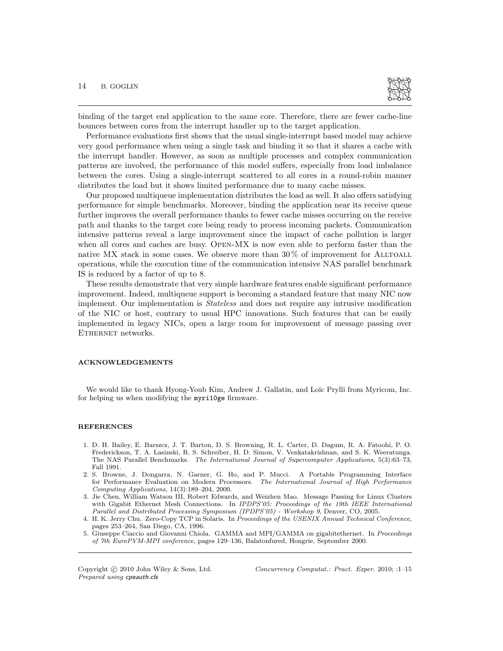

binding of the target end application to the same core. Therefore, there are fewer cache-line bounces between cores from the interrupt handler up to the target application.

Performance evaluations first shows that the usual single-interrupt based model may achieve very good performance when using a single task and binding it so that it shares a cache with the interrupt handler. However, as soon as multiple processes and complex communication patterns are involved, the performance of this model suffers, especially from load imbalance between the cores. Using a single-interrupt scattered to all cores in a round-robin manner distributes the load but it shows limited performance due to many cache misses.

Our proposed multiqueue implementation distributes the load as well. It also offers satisfying performance for simple benchmarks. Moreover, binding the application near its receive queue further improves the overall performance thanks to fewer cache misses occurring on the receive path and thanks to the target core being ready to process incoming packets. Communication intensive patterns reveal a large improvement since the impact of cache pollution is larger when all cores and caches are busy. Open-MX is now even able to perform faster than the native MX stack in some cases. We observe more than  $30\%$  of improvement for ALLTOALL operations, while the execution time of the communication intensive NAS parallel benchmark IS is reduced by a factor of up to 8.

These results demonstrate that very simple hardware features enable significant performance improvement. Indeed, multiqueue support is becoming a standard feature that many NIC now implement. Our implementation is Stateless and does not require any intrusive modification of the NIC or host, contrary to usual HPC innovations. Such features that can be easily implemented in legacy NICs, open a large room for improvement of message passing over ETHERNET networks.

#### ACKNOWLEDGEMENTS

We would like to thank Hyong-Youb Kim, Andrew J. Gallatin, and Loïc Prylli from Myricom, Inc. for helping us when modifying the myri10ge firmware.

#### REFERENCES

- 1. D. H. Bailey, E. Barszcz, J. T. Barton, D. S. Browning, R. L. Carter, D. Dagum, R. A. Fatoohi, P. O. Frederickson, T. A. Lasinski, R. S. Schreiber, H. D. Simon, V. Venkatakrishnan, and S. K. Weeratunga. The NAS Parallel Benchmarks. *The International Journal of Supercomputer Applications*, 5(3):63–73, Fall 1991.
- 2. S. Browne, J. Dongarra, N. Garner, G. Ho, and P. Mucci. A Portable Programming Interface for Performance Evaluation on Modern Processors. *The International Journal of High Performance Computing Applications*, 14(3):189–204, 2000.
- 3. Jie Chen, William Watson III, Robert Edwards, and Weizhen Mao. Message Passing for Linux Clusters with Gigabit Ethernet Mesh Connections. In *IPDPS'05: Proceedings of the 19th IEEE International Parallel and Distributed Processing Symposium (IPDPS'05) - Workshop 9*, Denver, CO, 2005.
- 4. H. K. Jerry Chu. Zero-Copy TCP in Solaris. In *Proceedings of the USENIX Annual Technical Conference*, pages 253–264, San Diego, CA, 1996.
- 5. Giuseppe Ciaccio and Giovanni Chiola. GAMMA and MPI/GAMMA on gigabitethernet. In *Proceedings of 7th EuroPVM-MPI conference*, pages 129–136, Balatonfured, Hongrie, September 2000.

*Prepared using* cpeauth.cls

Copyright c 2010 John Wiley & Sons, Ltd. *Concurrency Computat.: Pract. Exper.* 2010; :1–15